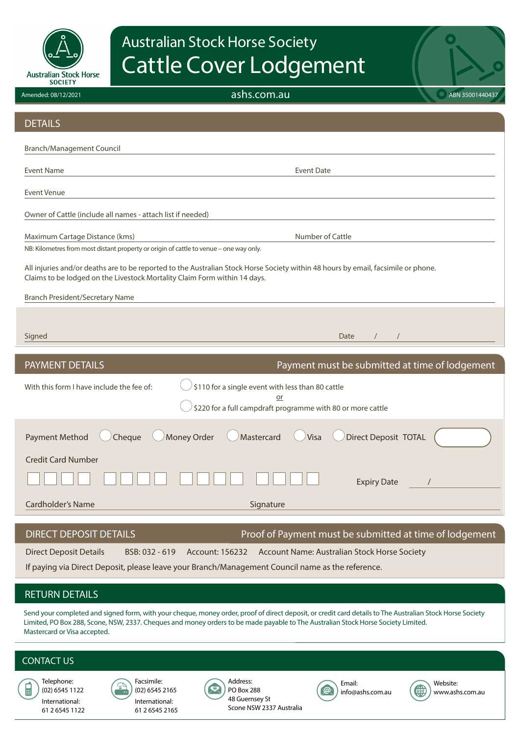

# Australian Stock Horse Society Cattle Cover Lodgement

ashs.com.au ABN 35001440437

| <b>DETAILS</b>                                                                                                                                                                                                 |                                                                   |  |  |  |  |
|----------------------------------------------------------------------------------------------------------------------------------------------------------------------------------------------------------------|-------------------------------------------------------------------|--|--|--|--|
| <b>Branch/Management Council</b>                                                                                                                                                                               |                                                                   |  |  |  |  |
| <b>Event Name</b>                                                                                                                                                                                              | <b>Event Date</b>                                                 |  |  |  |  |
| <b>Event Venue</b>                                                                                                                                                                                             |                                                                   |  |  |  |  |
| Owner of Cattle (include all names - attach list if needed)                                                                                                                                                    |                                                                   |  |  |  |  |
| Maximum Cartage Distance (kms)                                                                                                                                                                                 | Number of Cattle                                                  |  |  |  |  |
| NB: Kilometres from most distant property or origin of cattle to venue - one way only.                                                                                                                         |                                                                   |  |  |  |  |
| All injuries and/or deaths are to be reported to the Australian Stock Horse Society within 48 hours by email, facsimile or phone.<br>Claims to be lodged on the Livestock Mortality Claim Form within 14 days. |                                                                   |  |  |  |  |
| <b>Branch President/Secretary Name</b>                                                                                                                                                                         |                                                                   |  |  |  |  |
|                                                                                                                                                                                                                |                                                                   |  |  |  |  |
| Signed                                                                                                                                                                                                         | Date                                                              |  |  |  |  |
|                                                                                                                                                                                                                |                                                                   |  |  |  |  |
| <b>PAYMENT DETAILS</b>                                                                                                                                                                                         | Payment must be submitted at time of lodgement                    |  |  |  |  |
| With this form I have include the fee of:                                                                                                                                                                      | \$110 for a single event with less than 80 cattle                 |  |  |  |  |
|                                                                                                                                                                                                                | or<br>\$220 for a full campdraft programme with 80 or more cattle |  |  |  |  |
| <b>Payment Method</b><br>Cheque                                                                                                                                                                                | Direct Deposit TOTAL<br>Money Order<br>Mastercard<br>Visa         |  |  |  |  |
| <b>Credit Card Number</b>                                                                                                                                                                                      |                                                                   |  |  |  |  |
|                                                                                                                                                                                                                | <b>Expiry Date</b>                                                |  |  |  |  |
| <b>Cardholder's Name</b>                                                                                                                                                                                       | Signature                                                         |  |  |  |  |
| <b>DIRECT DEPOSIT DETAILS</b>                                                                                                                                                                                  | Proof of Payment must be submitted at time of lodgement           |  |  |  |  |
| <b>Direct Deposit Details</b><br>BSB: 032 - 619                                                                                                                                                                | Account Name: Australian Stock Horse Society<br>Account: 156232   |  |  |  |  |

## RETURN DETAILS

Send your completed and signed form, with your cheque, money order, proof of direct deposit, or credit card details to The Australian Stock Horse Society Limited, PO Box 288, Scone, NSW, 2337. Cheques and money orders to be made payable to The Australian Stock Horse Society Limited. Mastercard or Visa accepted.